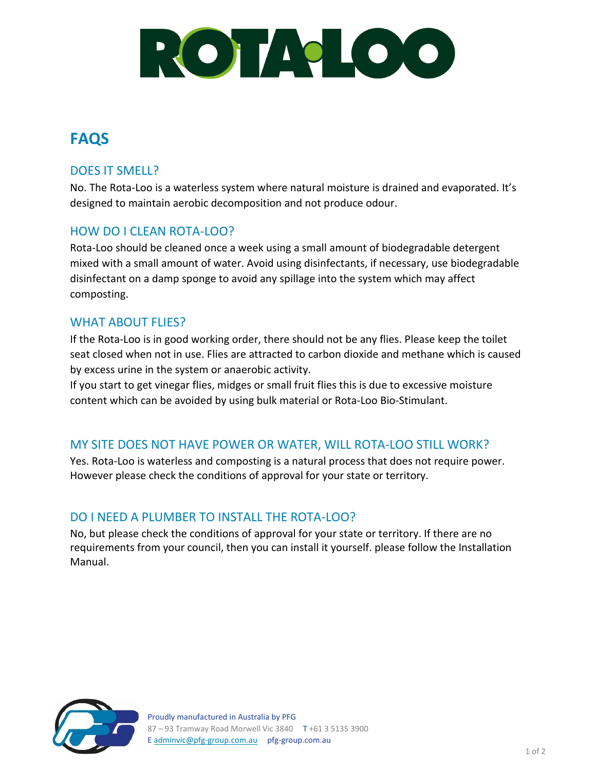

# **FAQS**

#### DOES IT SMELL?

No. The Rota-Loo is a waterless system where natural moisture is drained and evaporated. It's designed to maintain aerobic decomposition and not produce odour.

# HOW DO I CLEAN ROTA-LOO?

Rota-Loo should be cleaned once a week using a small amount of biodegradable detergent mixed with a small amount of water. Avoid using disinfectants, if necessary, use biodegradable disinfectant on a damp sponge to avoid any spillage into the system which may affect composting.

#### WHAT ABOUT FLIES?

If the Rota-Loo is in good working order, there should not be any flies. Please keep the toilet seat closed when not in use. Flies are attracted to carbon dioxide and methane which is caused by excess urine in the system or anaerobic activity.

If you start to get vinegar flies, midges or small fruit flies this is due to excessive moisture content which can be avoided by using bulk material or Rota-Loo Bio-Stimulant.

### MY SITE DOES NOT HAVE POWER OR WATER, WILL ROTA-LOO STILL WORK?

Yes. Rota-Loo is waterless and composting is a natural process that does not require power. However please check the conditions of approval for [your state or territory.](https://www.rotaloo.com.au/approvals.html)

### DO I NEED A PLUMBER TO INSTALL THE ROTA-LOO?

No, but please check the conditions of approval for [your state or territory.](https://www.rotaloo.com.au/approvals.html) If there are no requirements from your council, then you can install it yourself. please follow the [Installation](https://www.rotaloo.com.au/operatingrotaloo.html)  [Manual.](https://www.rotaloo.com.au/operatingrotaloo.html)